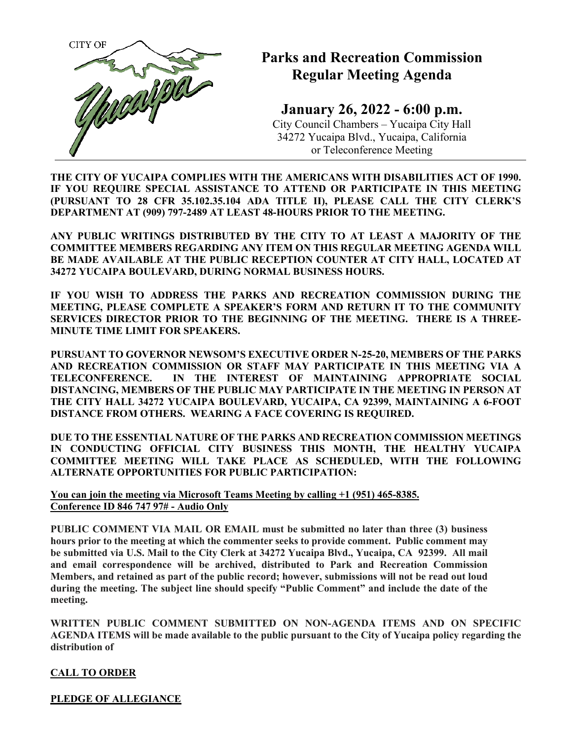

# **Parks and Recreation Commission Regular Meeting Agenda**

**January 26, 2022 - 6:00 p.m.** City Council Chambers – Yucaipa City Hall 34272 Yucaipa Blvd., Yucaipa, California or Teleconference Meeting

**THE CITY OF YUCAIPA COMPLIES WITH THE AMERICANS WITH DISABILITIES ACT OF 1990. IF YOU REQUIRE SPECIAL ASSISTANCE TO ATTEND OR PARTICIPATE IN THIS MEETING (PURSUANT TO 28 CFR 35.102.35.104 ADA TITLE II), PLEASE CALL THE CITY CLERK'S DEPARTMENT AT (909) 797-2489 AT LEAST 48-HOURS PRIOR TO THE MEETING.**

**ANY PUBLIC WRITINGS DISTRIBUTED BY THE CITY TO AT LEAST A MAJORITY OF THE COMMITTEE MEMBERS REGARDING ANY ITEM ON THIS REGULAR MEETING AGENDA WILL BE MADE AVAILABLE AT THE PUBLIC RECEPTION COUNTER AT CITY HALL, LOCATED AT 34272 YUCAIPA BOULEVARD, DURING NORMAL BUSINESS HOURS.**

**IF YOU WISH TO ADDRESS THE PARKS AND RECREATION COMMISSION DURING THE MEETING, PLEASE COMPLETE A SPEAKER'S FORM AND RETURN IT TO THE COMMUNITY SERVICES DIRECTOR PRIOR TO THE BEGINNING OF THE MEETING. THERE IS A THREE-MINUTE TIME LIMIT FOR SPEAKERS.**

**PURSUANT TO GOVERNOR NEWSOM'S EXECUTIVE ORDER N-25-20, MEMBERS OF THE PARKS AND RECREATION COMMISSION OR STAFF MAY PARTICIPATE IN THIS MEETING VIA A TELECONFERENCE. IN THE INTEREST OF MAINTAINING APPROPRIATE SOCIAL DISTANCING, MEMBERS OF THE PUBLIC MAY PARTICIPATE IN THE MEETING IN PERSON AT THE CITY HALL 34272 YUCAIPA BOULEVARD, YUCAIPA, CA 92399, MAINTAINING A 6-FOOT DISTANCE FROM OTHERS. WEARING A FACE COVERING IS REQUIRED.**

**DUE TO THE ESSENTIAL NATURE OF THE PARKS AND RECREATION COMMISSION MEETINGS IN CONDUCTING OFFICIAL CITY BUSINESS THIS MONTH, THE HEALTHY YUCAIPA COMMITTEE MEETING WILL TAKE PLACE AS SCHEDULED, WITH THE FOLLOWING ALTERNATE OPPORTUNITIES FOR PUBLIC PARTICIPATION:** 

**You can join the meeting via Microsoft Teams Meeting by calling +1 (951) 465-8385. Conference ID 846 747 97# - Audio Only** 

**PUBLIC COMMENT VIA MAIL OR EMAIL must be submitted no later than three (3) business hours prior to the meeting at which the commenter seeks to provide comment. Public comment may be submitted via U.S. Mail to the City Clerk at 34272 Yucaipa Blvd., Yucaipa, CA 92399. All mail and email correspondence will be archived, distributed to Park and Recreation Commission Members, and retained as part of the public record; however, submissions will not be read out loud during the meeting. The subject line should specify "Public Comment" and include the date of the meeting.**

**WRITTEN PUBLIC COMMENT SUBMITTED ON NON-AGENDA ITEMS AND ON SPECIFIC AGENDA ITEMS will be made available to the public pursuant to the City of Yucaipa policy regarding the distribution of**

## **CALL TO ORDER**

**PLEDGE OF ALLEGIANCE**